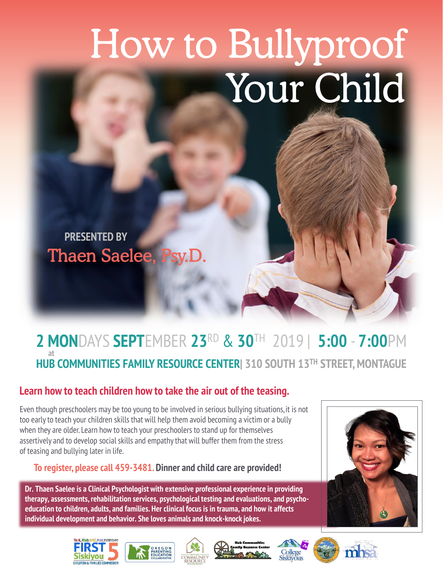# How to Bullyproof Your Child

**PRESENTED BYThaen Saelee, F** 

#### **2 MON**DAYS **SEPT**EMBER **23**RD & **30**TH 2019 | **5:00** - **7:00**PM **HUB COMMUNITIES FAMILY RESOURCE CENTER| 310 SOUTH 13TH STREET, MONTAGUE at**

#### **Learn how to teach children how to take the air out of the teasing.**

Even though preschoolers may be too young to be involved in serious bullying situations, it is not too early to teach your children skills that will help them avoid becoming a victim or a bully when they are older. Learn how to teach your preschoolers to stand up for themselves assertively and to develop social skills and empathy that will buffer them from the stress of teasing and bullying later in life.

**To register, please call 459-3481. Dinner and child care are provided!**

**Dr. Thaen Saelee is a Clinical Psychologist with extensive professional experience in providing therapy, assessments, rehabilitation services, psychological testing and evaluations, and psychoeducation to children, adults, and families. Her clinical focus is in trauma, and how it affects individual development and behavior. She loves animals and knock-knock jokes.**













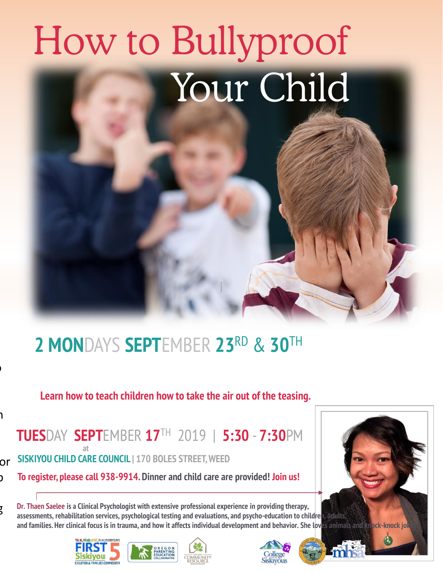## How to Bullyproof Your Child

### **2 MON**DAYS **SEPT**EMBER **23**RD & **30**TH

|

**Learn how to teach children how to take the air out of the teasing.** 

 $\mathbf{a}$ 

 $\overline{a}$ 

**TUES**DAY **SEPT**EMBER **17**TH 2019 | **5:30** - **7:30**PM **at**

or **SISKIYOU CHILD CARE COUNCIL | 170 BOLES STREET, WEED**

 $\mathbf{c}$ **To register, please call 938-9914. Dinner and child care are provided! Join us!** 

b<br>Buffer **Dr. Thaen Saelee is a Clinical Psychologist with extensive professional experience in providing therapy, assessments, rehabilitation services, psychological testing and evaluations, and psycho-education to children, adults, and families. Her clinical focus is in trauma, and how it affects individual development and behavior. She loves animals and knock-knock jokes.**



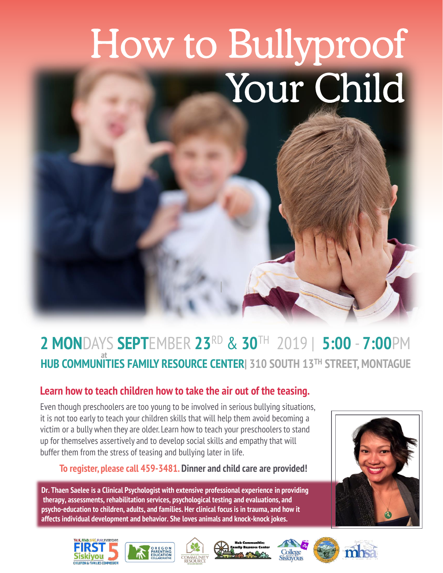# How to Bullyproof Your Child |

#### **2 MON**DAYS **SEPT**EMBER **23**RD & **30**TH 2019 | **5:00** - **7:00**PM **HUB COMMUNITIES FAMILY RESOURCE CENTER| 310 SOUTH 13TH STREET, MONTAGUE at**

#### **Learn how to teach children how to take the air out of the teasing.**

Even though preschoolers are too young to be involved in serious bullying situations, it is not too early to teach your children skills that will help them avoid becoming a victim or a bully when they are older. Learn how to teach your preschoolers to stand up for themselves assertively and to develop social skills and empathy that will buffer them from the stress of teasing and bullying later in life.

#### **To register, please call 459-3481. Dinner and child care are provided!**

**Dr. Thaen Saelee is a Clinical Psychologist with extensive professional experience in providing therapy, assessments, rehabilitation services, psychological testing and evaluations, and psycho-education to children, adults, and families. Her clinical focus is in trauma, and how it affects individual development and behavior. She loves animals and knock-knock jokes.**













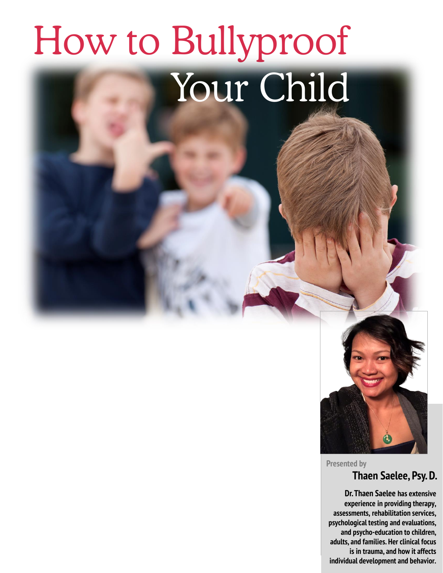## How to Bullyproof Your Child



**Presented by**

#### **Thaen Saelee, Psy. D.**

**Dr. Thaen Saelee has extensive experience in providing therapy, assessments, rehabilitation services, psychological testing and evaluations, and psycho-education to children, adults, and families. Her clinical focus is in trauma, and how it affects individual development and behavior.**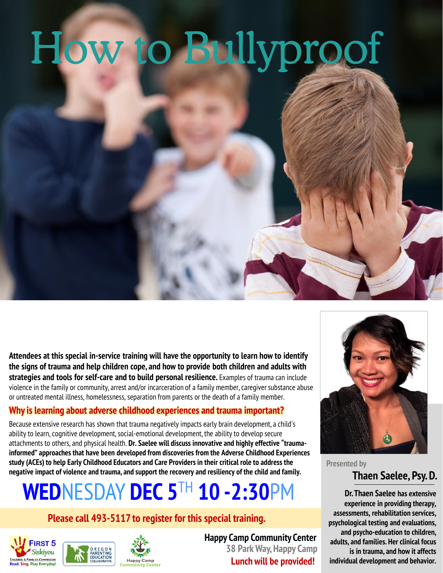

**Attendees at this special in-service training will have the opportunity to learn how to identify the signs of trauma and help children cope, and how to provide both children and adults with strategies and tools for self-care and to build personal resilience.** Examples of trauma can include violence in the family or community, arrest and/or incarceration of a family member, caregiver substance abuse or untreated mental illness, homelessness, separation from parents or the death of a family member.

#### **Why is learning about adverse childhood experiences and trauma important?**

Because extensive research has shown that trauma negatively impacts early brain development, a child's ability to learn, cognitive development, social-emotional development, the ability to develop secure attachments to others, and physical health. **Dr. Saelee will discuss innovative and highly effective "traumainformed" approaches that have been developed from discoveries from the Adverse Childhood Experiences study (ACEs) to help Early Childhood Educators and Care Providers in their critical role to address the negative impact of violence and trauma, and support the recovery and resiliency of the child and family.** 

## **WED**NESDAY **DEC 5**TH **10 -2:30**PM

#### **Please call 493-5117 to register for this special training.**





**Happy Camp Community Center 38 Park Way, Happy Camp Lunch will be provided!**



**Thaen Saelee, Psy. D. Presented by**

**Dr. Thaen Saelee has extensive experience in providing therapy, assessments, rehabilitation services, psychological testing and evaluations, and psycho-education to children, adults, and families. Her clinical focus is in trauma, and how it affects individual development and behavior.**